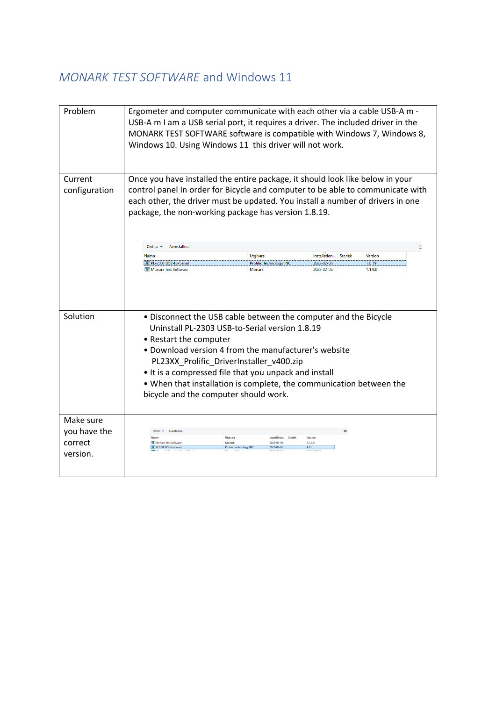## *MONARK TEST SOFTWARE* and Windows 11

| Problem<br>Current<br>configuration              | Ergometer and computer communicate with each other via a cable USB-A m -<br>USB-A m I am a USB serial port, it requires a driver. The included driver in the<br>MONARK TEST SOFTWARE software is compatible with Windows 7, Windows 8,<br>Windows 10. Using Windows 11 this driver will not work.<br>Once you have installed the entire package, it should look like below in your<br>control panel In order for Bicycle and computer to be able to communicate with |
|--------------------------------------------------|----------------------------------------------------------------------------------------------------------------------------------------------------------------------------------------------------------------------------------------------------------------------------------------------------------------------------------------------------------------------------------------------------------------------------------------------------------------------|
|                                                  | each other, the driver must be updated. You install a number of drivers in one<br>package, the non-working package has version 1.8.19.<br>Ξ<br>Ordna $\blacktriangledown$<br>Avinstallera<br>Installation Storlek<br>Namn<br>Utgivare<br>Version<br>PL-2303 USB-to-Serial<br>1.8.19<br>Prolific Technology INC<br>2022-02-06<br>Monark Test Software<br>Monark<br>2022-02-06<br>1.1.9.0                                                                              |
| Solution                                         | • Disconnect the USB cable between the computer and the Bicycle<br>Uninstall PL-2303 USB-to-Serial version 1.8.19<br>• Restart the computer<br>• Download version 4 from the manufacturer's website<br>PL23XX_Prolific_DriverInstaller_v400.zip<br>• It is a compressed file that you unpack and install<br>. When that installation is complete, the communication between the<br>bicycle and the computer should work.                                             |
| Make sure<br>you have the<br>correct<br>version. | Ordna <del>v</del> Avinstallera<br>$\equiv$<br>Utgivare<br>Installation Storlek<br>Version<br>Namn<br>Monark Test Software<br>Monark<br>2022-02-06<br>1.1.9.0<br>2022-02-06<br>4.0.0<br>PL23XX USB-to-Serial<br><b>Prolific Technology INC</b>                                                                                                                                                                                                                       |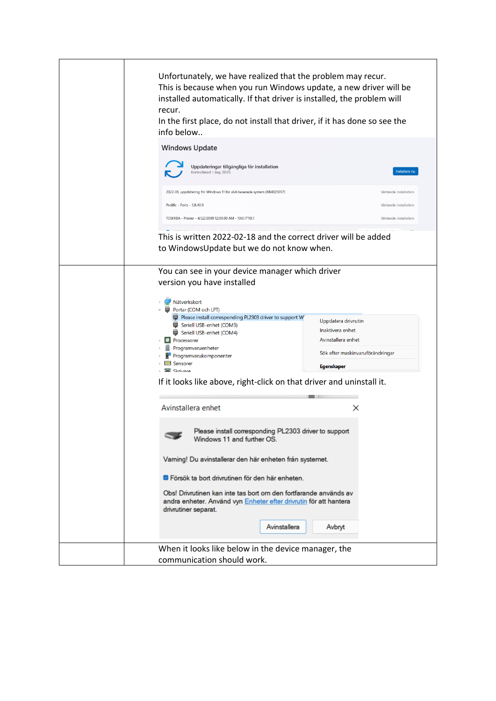| Unfortunately, we have realized that the problem may recur.<br>This is because when you run Windows update, a new driver will be<br>installed automatically. If that driver is installed, the problem will<br>recur.<br>In the first place, do not install that driver, if it has done so see the<br>info below                                                                                                                                                                                              |
|--------------------------------------------------------------------------------------------------------------------------------------------------------------------------------------------------------------------------------------------------------------------------------------------------------------------------------------------------------------------------------------------------------------------------------------------------------------------------------------------------------------|
|                                                                                                                                                                                                                                                                                                                                                                                                                                                                                                              |
| <b>Windows Update</b><br>Uppdateringar tillgängliga för installation<br>Installera nu<br>Kontrollerad: I dag, 08:05                                                                                                                                                                                                                                                                                                                                                                                          |
| 2022-01, uppdatering för Windows 11 för x64-baserade system (KB4023057)<br>Väntande installation                                                                                                                                                                                                                                                                                                                                                                                                             |
|                                                                                                                                                                                                                                                                                                                                                                                                                                                                                                              |
| Prolific - Ports - 3.8.40.0<br>Väntande installation                                                                                                                                                                                                                                                                                                                                                                                                                                                         |
| TOSHIBA - Printer - 4/22/2009 12:00:00 AM - 10.0.17119.1<br>Väntande installation                                                                                                                                                                                                                                                                                                                                                                                                                            |
| This is written 2022-02-18 and the correct driver will be added<br>to WindowsUpdate but we do not know when.                                                                                                                                                                                                                                                                                                                                                                                                 |
| version you have installed<br>Nätverkskort<br>Portar (COM och LPT)<br>Please install corresponding PL2303 driver to support W<br>Uppdatera drivrutin<br>Seriell USB-enhet (COM3)<br>Inaktivera enhet<br>Seriell USB-enhet (COM4)<br>Avinstallera enhet<br><b>Processorer</b><br>Programvaruenheter<br>Sök efter maskinvaruförändringar<br><b>Programvarukomponenter</b><br><b>H</b> Sensorer<br><b>Egenskaper</b><br>$\sum$ Skrivare<br>If it looks like above, right-click on that driver and uninstall it. |
| Avinstallera enhet<br>×                                                                                                                                                                                                                                                                                                                                                                                                                                                                                      |
| Please install corresponding PL2303 driver to support<br>Windows 11 and further OS.<br>Varning! Du avinstallerar den här enheten från systemet.<br>Försök ta bort drivrutinen för den här enheten.<br>Obs! Drivrutinen kan inte tas bort om den fortfarande används av<br>andra enheter. Använd vyn Enheter efter drivrutin för att hantera<br>drivrutiner separat.<br>Avinstallera<br>Avbryt                                                                                                                |
| When it looks like below in the device manager, the                                                                                                                                                                                                                                                                                                                                                                                                                                                          |
| communication should work.                                                                                                                                                                                                                                                                                                                                                                                                                                                                                   |